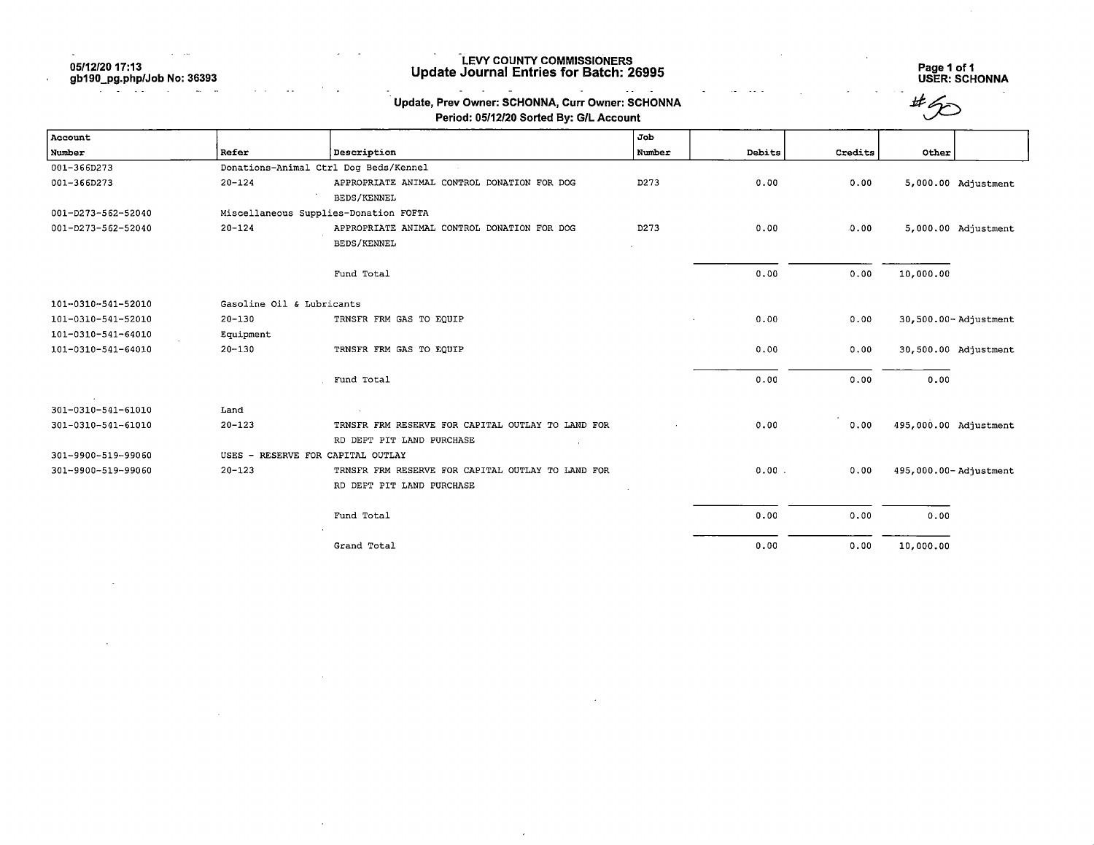05/12/20 17:13

 $\mathcal{A}$ 

 $\sim$ 

gb190\_pg.php/Job No: 36392

 $\sim 100$  km  $^{-1}$ 

 $\mathbf{u}$  $\sim$ 

 $\ddot{\phantom{a}}$ 

 $\bar{\alpha}$ 

 $\sim 10$ 

## LEVY COUNTY COMMISSIONERS Update Journal Entries for Batch: 26995 Page 1 of 1

Page 1 of 1<br>USER: SCHONNA

 $\sim 10$ 

 $\sim$ 

|                    |                           | Update, Prev Owner: SCHONNA, Curr Owner: SCHONNA<br>Period: 05/12/20 Sorted By: G/L Account |        |        |         |                       |
|--------------------|---------------------------|---------------------------------------------------------------------------------------------|--------|--------|---------|-----------------------|
| Account            |                           |                                                                                             | Job    |        |         |                       |
| Number             | Refer                     | Description                                                                                 | Number | Debits | Credits | Other                 |
| 001-366D273        |                           | Donations-Animal Ctrl Dog Beds/Kennel                                                       |        |        |         |                       |
| 001-366D273        | $20 - 124$                | APPROPRIATE ANIMAL CONTROL DONATION FOR DOG                                                 | D273   | 0.00   | 0.00    | 5,000.00 Adjustment   |
|                    |                           | BEDS/KENNEL                                                                                 |        |        |         |                       |
| 001-D273-562-52040 |                           | Miscellaneous Supplies-Donation FOFTA                                                       |        |        |         |                       |
| 001-D273-562-52040 | $20 - 124$                | APPROPRIATE ANIMAL CONTROL DONATION FOR DOG                                                 | D273   | 0.00   | 0.00    | 5,000.00 Adjustment   |
|                    |                           | <b>BEDS/KENNEL</b>                                                                          |        |        |         |                       |
|                    |                           | Fund Total                                                                                  |        | 0.00   | 0.00    | 10,000.00             |
| 101-0310-541-52010 | Gasoline Oil & Lubricants |                                                                                             |        |        |         |                       |
| 101-0310-541-52010 | $20 - 130$                | TRNSFR FRM GAS TO EQUIP                                                                     |        | 0.00   | 0.00    | 30,500.00-Adjustment  |
| 101-0310-541-64010 | Equipment                 |                                                                                             |        |        |         |                       |
| 101-0310-541-64010 | $20 - 130$                | TRNSFR FRM GAS TO EQUIP                                                                     |        | 0.00   | 0.00    | 30,500.00 Adjustment  |
|                    |                           | Fund Total                                                                                  |        | 0.00   | 0.00    | 0.00                  |
| 301-0310-541-61010 | Land                      |                                                                                             |        |        |         |                       |
| 301-0310-541-61010 | $20 - 123$                | TRNSFR FRM RESERVE FOR CAPITAL OUTLAY TO LAND FOR                                           |        | 0.00   | 0.00    | 495,000.00 Adjustment |
|                    |                           | RD DEPT PIT LAND PURCHASE                                                                   |        |        |         |                       |
| 301-9900-519-99060 |                           | USES - RESERVE FOR CAPITAL OUTLAY                                                           |        |        |         |                       |
| 301-9900-519-99060 | $20 - 123$                | TRNSFR FRM RESERVE FOR CAPITAL OUTLAY TO LAND FOR                                           |        | 0.00.  | 0.00    | 495,000.00-Adjustment |
|                    |                           | RD DEPT PIT LAND PURCHASE                                                                   |        |        |         |                       |
|                    |                           | Fund Total                                                                                  |        | 0.00   | 0.00    | 0.00                  |
|                    |                           | Grand Total                                                                                 |        | 0.00   | 0.00    | 10,000.00             |

 $\epsilon$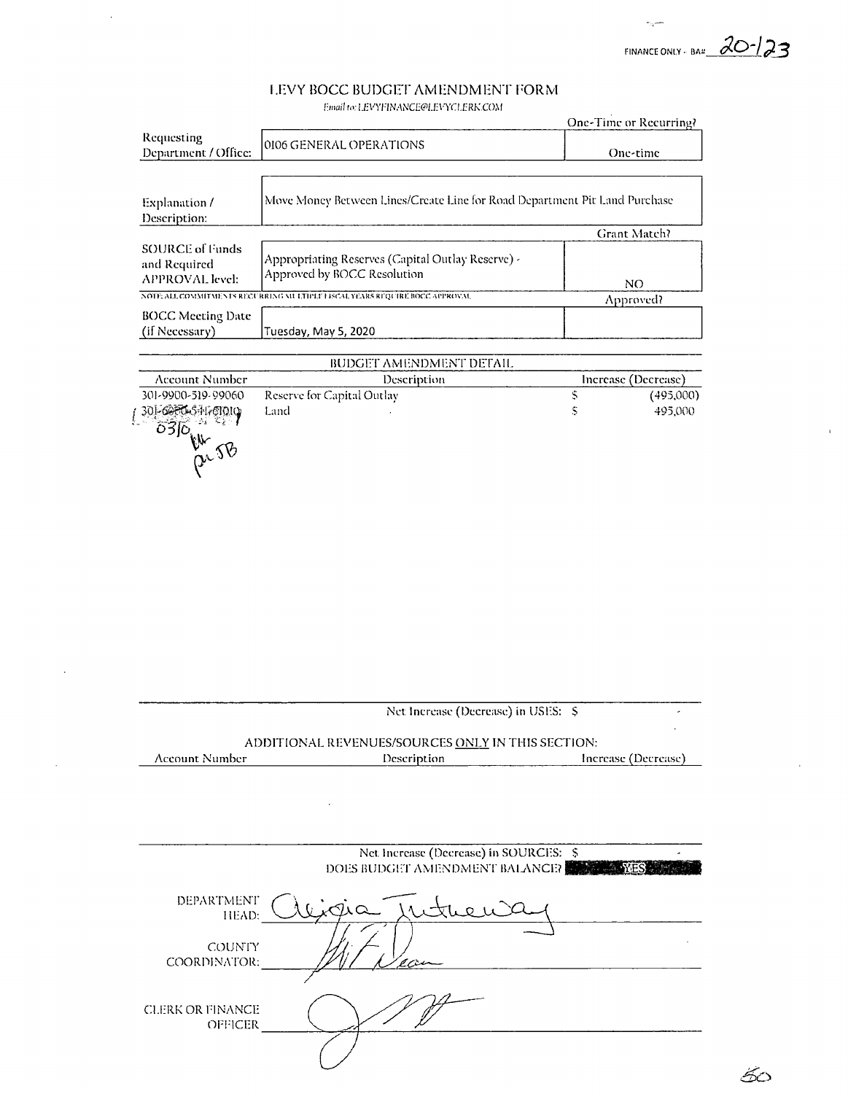FINANCE ONLY - BAN  $\frac{\partial O}{\partial 3}$ 

 $\chi^2$ 

 $\mathbf{r}$ 

50

 $\epsilon_{\rm q}$ 

# LEVY BOCC BUDGET AMENDMENT FORM

 $\bar{\beta}$ 

 $\ddot{\phantom{a}}$ 

 $\mathcal{A}$ 

 $f^{final}$  to: LEVYFINANCE@LEVYCLERK.COM

|                                                           |                                                                                  |   | One-Time or Recurring? |
|-----------------------------------------------------------|----------------------------------------------------------------------------------|---|------------------------|
| Requesting<br>Department / Office:                        | 0106 GENERAL OPERATIONS                                                          |   | One-time               |
|                                                           |                                                                                  |   |                        |
| Explanation /<br>Description:                             | Move Money Between Lines/Create Line for Road Department Pit Land Purchase       |   |                        |
|                                                           |                                                                                  |   | Grant Match?           |
| SOURCE of Funds<br>and Required<br><b>APPROVAL</b> level: | Appropriating Reserves (Capital Outlay Reserve) -<br>Approved by BOCC Resolution |   | NO.                    |
|                                                           | NOTE: ALL COMMITMENTS RECURRING MELTIPLE I ISCAL YEARS RIQUIRE BOCC APPROVAL     |   | Approved?              |
| <b>BOCC Meeting Date</b><br>(if Necessary)                | Tuesday, May 5, 2020                                                             |   |                        |
|                                                           | BUDGET AMENDMENT DETAIL                                                          |   |                        |
| Account Number                                            | Description                                                                      |   | Increase (Decrease)    |
| 301-9900-519-99060                                        | Reserve for Capital Outlay                                                       | S | (495,000)              |
| 1 30 6 16 17 61010<br>5. 88                               | Land                                                                             | S | 495,000                |

|                         | Net Increase (Decrease) in USES: \$               |                     |
|-------------------------|---------------------------------------------------|---------------------|
|                         | ADDITIONAL REVENUES/SOURCES ONLY IN THIS SECTION: |                     |
| <b>Account Number</b>   | Description                                       | Increase (Decrease) |
|                         |                                                   |                     |
|                         |                                                   |                     |
|                         |                                                   |                     |
|                         |                                                   |                     |
|                         | Net Increase (Decrease) in SOURCES: \$            |                     |
|                         | DOES BUDGET AMENDMENT BALANCE?                    |                     |
|                         |                                                   |                     |
| DEPARTMENT              | iria                                              |                     |
| HEAD:                   |                                                   |                     |
|                         |                                                   |                     |
| COUNTY                  |                                                   |                     |
| COORDINATOR:            |                                                   |                     |
|                         |                                                   |                     |
| <b>CLERK OR FINANCE</b> |                                                   |                     |
| OFFICER                 |                                                   |                     |
|                         |                                                   |                     |
|                         |                                                   |                     |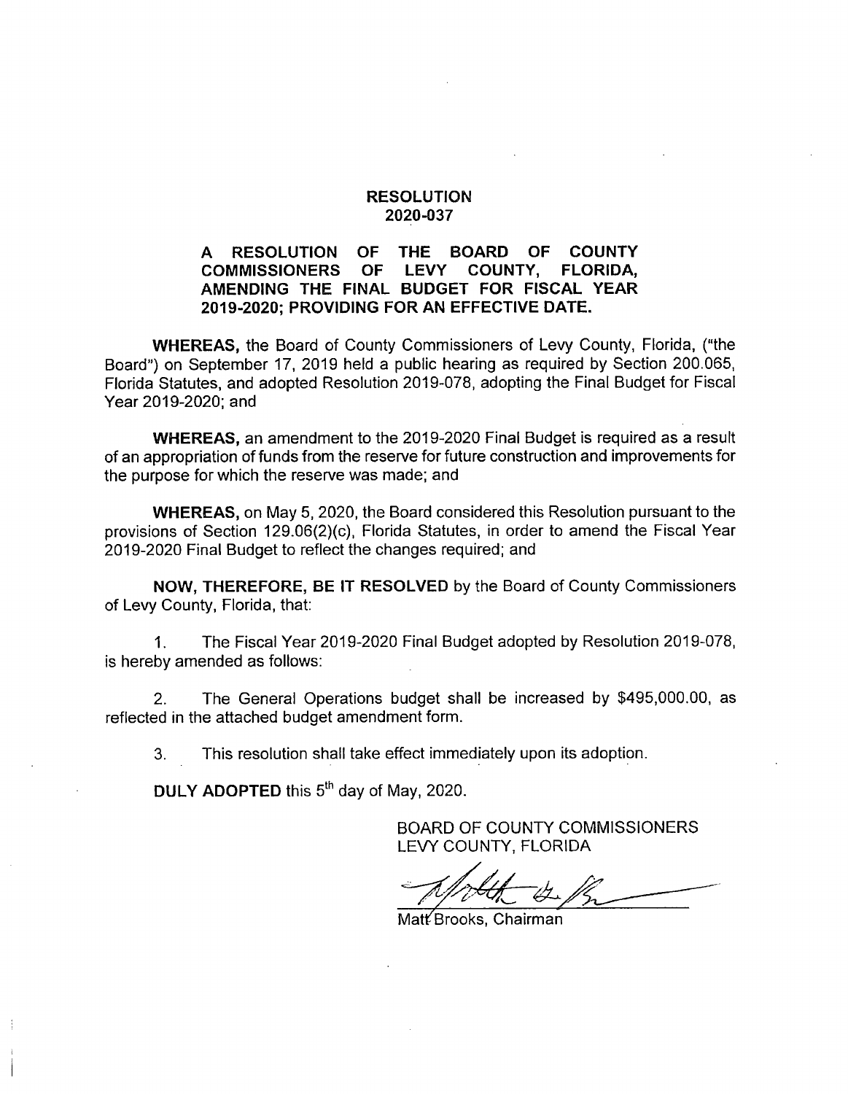### RESOLUTION 2020-037

### A RESOLUTION OF THE BOARD OF COUNTY<br>COMMISSIONERS OF LEVY COUNTY, FLORIDA. **COMMISSIONERS** AMENDING THE FINAL BUDGET FOR FISCAL YEAR 2019-2020; PROVIDING FOR AN EFFECTIVE DATE.

WHEREAS, the Board of County Commissioners of Levy County, Florida, ("the Board") on September 17, 2019 held a public hearing as required by Section 200.065, Florida Statutes, and adopted Resolution 2019-078, adopting the Final Budget for Fiscal Year 2019-2020; and

WHEREAS, an amendment to the 2019-2020 Final Budget is required as a result of an appropriation of funds from the reserve for future construction and improvements for the purpose for which the reserve was made; and

WHEREAS, on May 5, 2020, the Board considered this Resolution pursuant to the provisions of Section 129.06(2)(c), Florida Statutes, in order to amend the Fiscal Year 2019-2020 Final Budget to reflect the changes required; and

NOW, THEREFORE, BE IT RESOLVED by the Board of County Commissioners of Levy County, Florida, that:

1. The Fiscal Year 2019-2020 Final Budget adopted by Resolution 2019-078, is hereby amended as follows:

2. The General Operations budget shall be increased by \$495,000.00, as reflected in the attached budget amendment form.

3. This resolution shall take effect immediately upon its adoption.

DULY ADOPTED this 5<sup>th</sup> day of May, 2020.

BOARD OF COUNTY COMMISSIONERS LEVY COUNTY, FLORIDA

Matt<sup>/</sup>Brooks, Chairman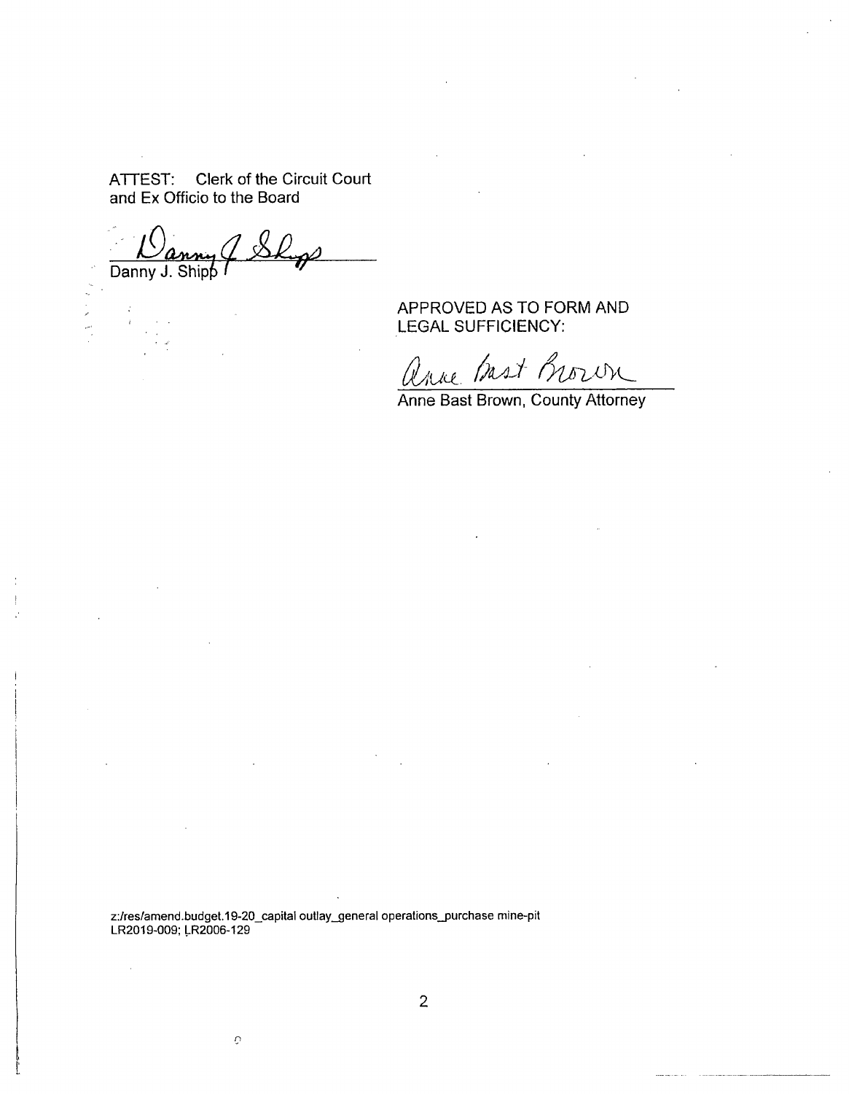ATTEST: Clerk of the Circuit Court and Ex Officio to the Board

Danny J. Shipp I

网络大陆

 $\ddot{i}$ 

APPROVED AS TO FORM AND LEGAL SUFFICIENCY:

anne Bast Brown

Anne Bast Brown, County Attorney

z:/res/amend.budget.19-20\_capital outlay\_general operatlons\_purchase mine-pit LR2019-009: LR2006-129

 $\mathbf{\hat{O}}$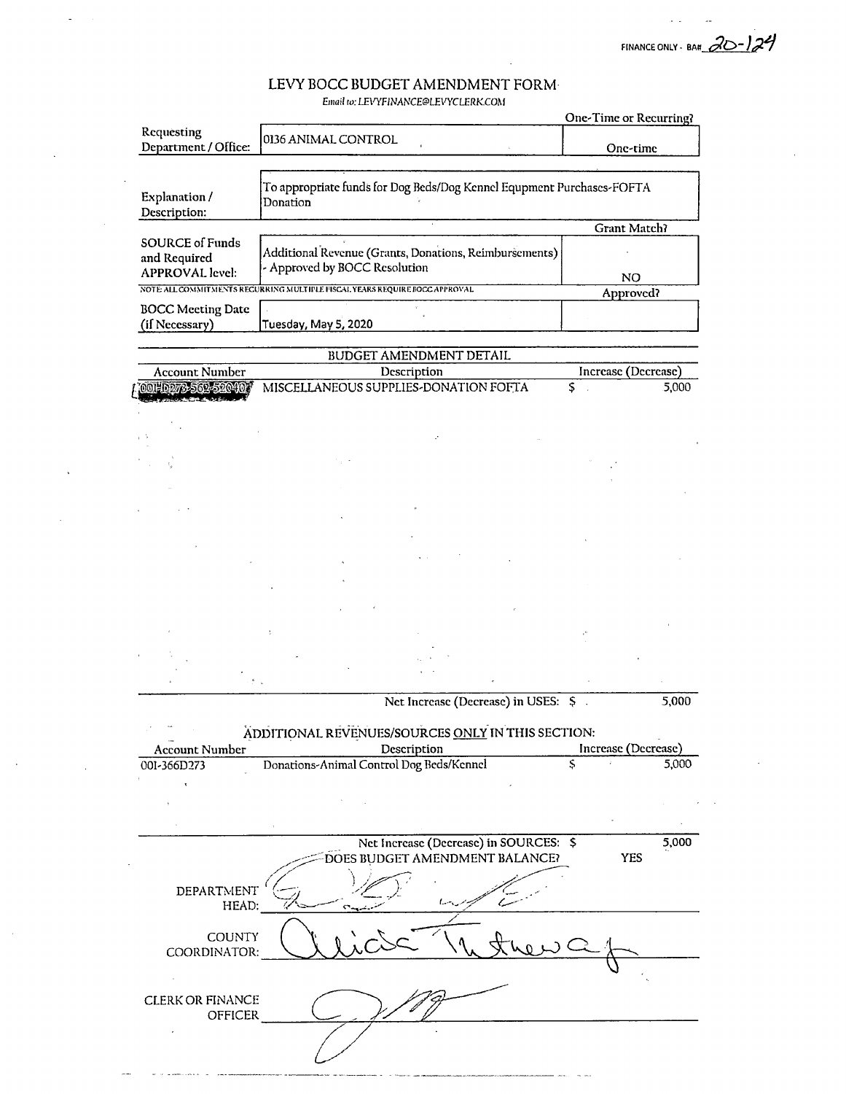FINANCE ONLY - BA«

## LEVY BOCC BUDGET AMENDMENT FORM

Email to: LEVYFINANCE@LEVYCLERK.COM

|                                            |                                                                                   | One-Time or Recurring? |  |
|--------------------------------------------|-----------------------------------------------------------------------------------|------------------------|--|
| Requesting<br>Department / Office:         | 0136 ANIMAL CONTROL                                                               | One-time               |  |
|                                            |                                                                                   |                        |  |
| Explanation /<br>Description:              | To appropriate funds for Dog Beds/Dog Kennel Equpment Purchases-FOFTA<br>Donation |                        |  |
|                                            |                                                                                   | Grant Match?           |  |
| <b>SOURCE of Funds</b><br>and Required     | Additional Revenue (Grants, Donations, Reimbursements)                            |                        |  |
| <b>APPROVAL</b> level:                     | - Approved by BOCC Resolution                                                     | NO.                    |  |
|                                            | NOTE ALL COMMITMENTS RECURRING MULTIPLE FISCAL YEARS REQUIRE BOCC APPROVAL        | Approved?              |  |
| <b>BOCC Meeting Date</b><br>(if Necessary) | Tuesday, May 5, 2020                                                              |                        |  |
|                                            |                                                                                   |                        |  |
|                                            | BUDGET AMENDMENT DETAIL                                                           |                        |  |
| <b>Account Number</b>                      | Description                                                                       | Increase (Decrease)    |  |
| 001-0273-562-5204                          | MISCELLANEOUS SUPPLIES-DONATION FOFTA                                             | \$<br>5,000            |  |
|                                            |                                                                                   |                        |  |
|                                            | ÷.                                                                                |                        |  |
|                                            |                                                                                   |                        |  |

Net Increase (Decrease) in USES: \$ 5,000

### ADDITIONAL REVENUES/SOURCES ONLY IN THIS SECTION:

| <b>Account Number</b>                     | Description                              |   | Increase (Decrease) |       |
|-------------------------------------------|------------------------------------------|---|---------------------|-------|
| 001-366D273                               | Donations-Animal Control Dog Beds/Kennel | Ś |                     | 5,000 |
|                                           |                                          |   |                     |       |
|                                           |                                          |   |                     |       |
|                                           |                                          |   |                     |       |
|                                           | Net Increase (Decrease) in SOURCES: \$   |   |                     | 5,000 |
|                                           | DOES BUDGET AMENDMENT BALANCE?           |   | <b>YES</b>          |       |
| DEPARTMENT<br>HEAD:                       |                                          |   |                     |       |
| <b>COUNTY</b><br>COORDINATOR:             |                                          |   |                     |       |
|                                           |                                          |   |                     |       |
| <b>CLERK OR FINANCE</b><br><b>OFFICER</b> |                                          |   |                     |       |
|                                           |                                          |   |                     |       |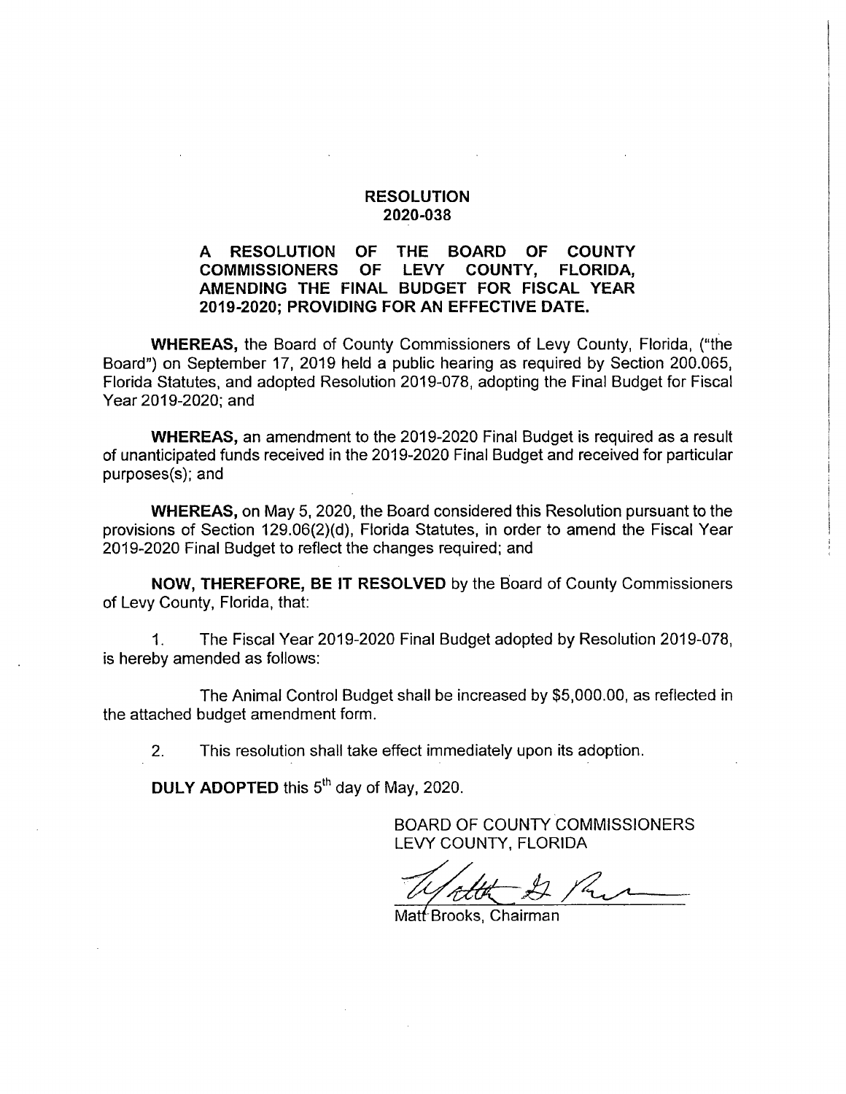### RESOLUTION 2020-038

### A RESOLUTION OF THE BOARD OF COUNTY<br>COMMISSIONERS OF LEVY COUNTY. FLORIDA. COMMISSIONERS AMENDING THE FINAL BUDGET FOR FISCAL YEAR 2019-2020; PROVIDING FOR AN EFFECTIVE DATE.

WHEREAS, the Board of County Commissioners of Levy County, Florida, ("the Board") on September 17, 2019 held a public hearing as required by Section 200.065, Florida Statutes, and adopted Resolution 2019-078, adopting the Final Budget for Fiscal Year 2019-2020; and

WHEREAS, an amendment to the 2019-2020 Final Budget is required as a result of unanticipated funds received in the 2019-2020 Final Budget and received for particular purposes(s); and

WHEREAS, on May 5, 2020, the Board considered this Resolution pursuant to the provisions of Section 129.06(2)(d), Florida Statutes, in order to amend the Fiscal Year 2019-2020 Final Budget to reflect the changes required; and

NOW, THEREFORE, BE IT RESOLVED by the Board of County Commissioners of Levy County, Florida, that:

1. The Fiscal Year 2019-2020 Final Budget adopted by Resolution 2019-078, is hereby amended as follows:

The Animal Control Budget shall be increased by \$5,000.00, as reflected in the attached budget amendment form.

2. This resolution shall take effect immediately upon its adoption.

DULY ADOPTED this 5<sup>th</sup> day of May, 2020.

BOARD OF COUNTY COMMISSIONERS LEVY COUNTY, FLORIDA

Matt Brooks, Chairman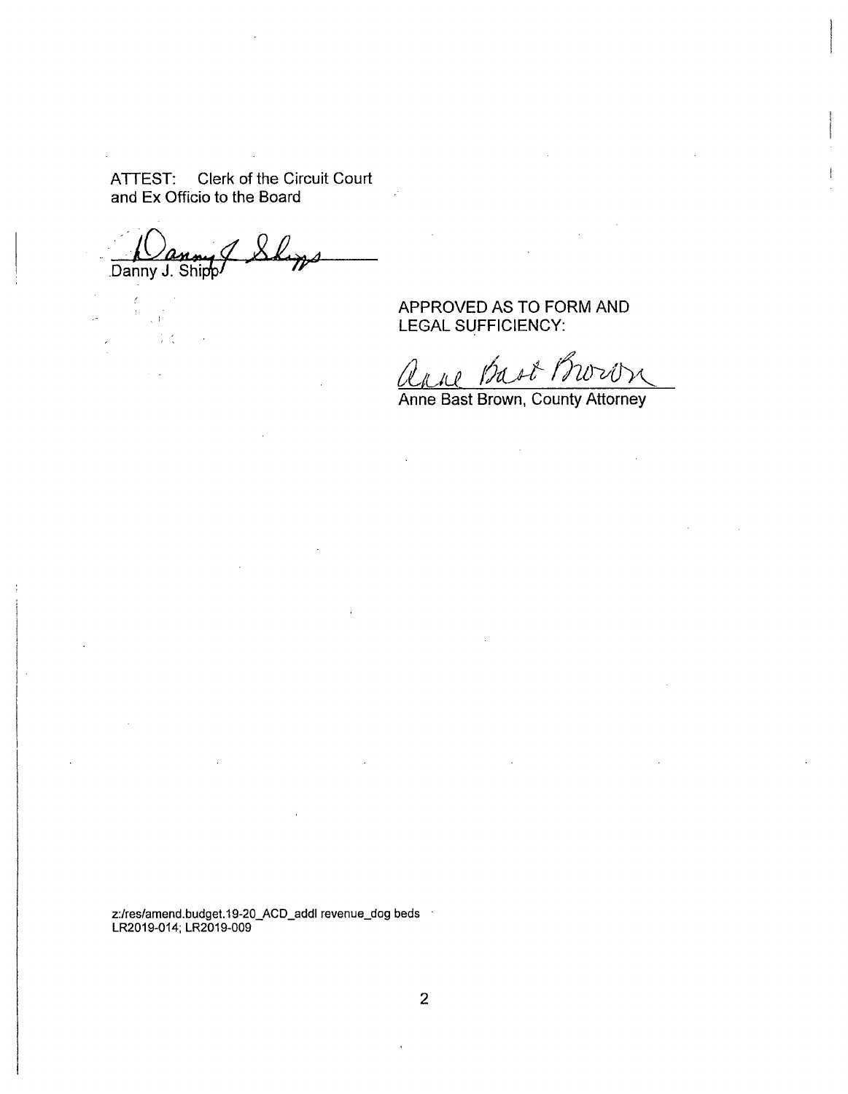ATTEST; Clerk of the Circuit Court and Ex Officio to the Board

Danny J. Shipp

APPROVED AS TO FORM AND LEGAL SUFFICIENCY:

Bast Morron  $\mathcal{L}$   $\mathcal{L}$   $\mathcal{L}$ 

Anne Bast Brown, County Attorney

z:/res/amend.budget.19-20\_ACD\_addl revenue\_dog beds LR2019-014; LR2019-009